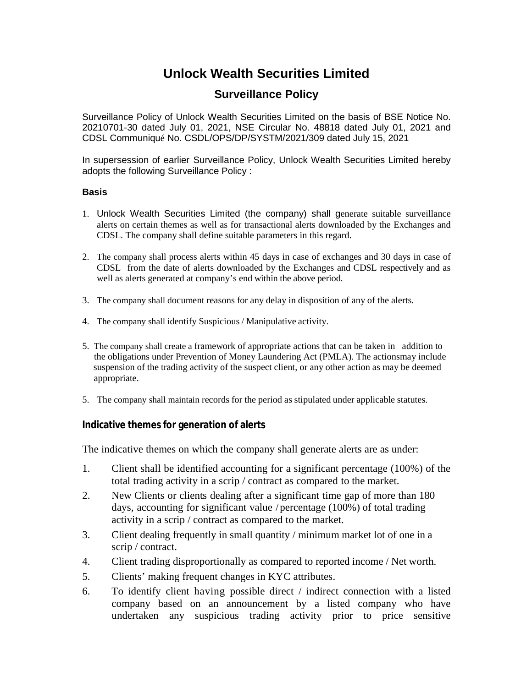# **Unlock Wealth Securities Limited**

# **Surveillance Policy**

Surveillance Policy of Unlock Wealth Securities Limited on the basis of BSE Notice No. 20210701-30 dated July 01, 2021, NSE Circular No. 48818 dated July 01, 2021 and CDSL Communiqué No. CSDL/OPS/DP/SYSTM/2021/309 dated July 15, 2021

In supersession of earlier Surveillance Policy, Unlock Wealth Securities Limited hereby adopts the following Surveillance Policy :

#### **Basis**

- 1. Unlock Wealth Securities Limited (the company) shall generate suitable surveillance alerts on certain themes as well as for transactional alerts downloaded by the Exchanges and CDSL. The company shall define suitable parameters in this regard.
- 2. The company shall process alerts within 45 days in case of exchanges and 30 days in case of CDSL from the date of alerts downloaded by the Exchanges and CDSL respectively and as well as alerts generated at company's end within the above period.
- 3. The company shall document reasons for any delay in disposition of any of the alerts.
- 4. The company shall identify Suspicious / Manipulative activity.
- 5. The company shall create a framework of appropriate actions that can be taken in addition to the obligations under Prevention of Money Laundering Act (PMLA). The actions may include suspension of the trading activity of the suspect client, or any other action as may be deemed appropriate.
- 5. The company shall maintain records for the period as stipulated under applicable statutes.

#### **Indicative themes for generation of alerts**

The indicative themes on which the company shall generate alerts are as under:

- 1. Client shall be identified accounting for a significant percentage (100%) of the total trading activity in a scrip / contract as compared to the market.
- 2. New Clients or clients dealing after a significant time gap of more than 180 days, accounting for significant value / percentage (100%) of total trading activity in a scrip / contract as compared to the market.
- 3. Client dealing frequently in small quantity / minimum market lot of one in a scrip / contract.
- 4. Client trading disproportionally as compared to reported income / Net worth.
- 5. Clients' making frequent changes in KYC attributes.
- 6. To identify client having possible direct / indirect connection with a listed company based on an announcement by a listed company who have undertaken any suspicious trading activity prior to price sensitive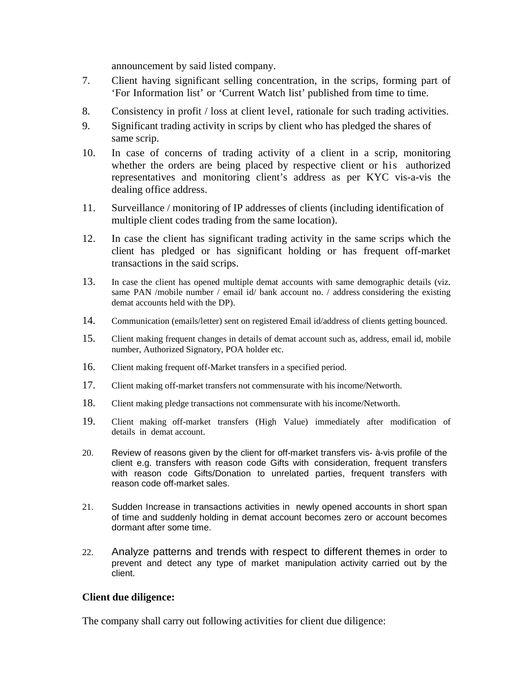announcement by said listed company.

- 7. Client having significant selling concentration, in the scrips, forming part of 'For Information list' or 'Current Watch list' published from time to time.
- 8. Consistency in profit / loss at client level, rationale for such trading activities.
- 9. Significant trading activity in scrips by client who has pledged the shares of same scrip.
- 10. In case of concerns of trading activity of a client in a scrip, monitoring whether the orders are being placed by respective client or his authorized representatives and monitoring client's address as per KYC vis-a-vis the dealing office address.
- 11. Surveillance / monitoring of IP addresses of clients (including identification of multiple client codes trading from the same location).
- 12. In case the client has significant trading activity in the same scrips which the client has pledged or has significant holding or has frequent off-market transactions in the said scrips.
- 13. In case the client has opened multiple demat accounts with same demographic details (viz. same PAN /mobile number / email id/ bank account no. / address considering the existing demat accounts held with the DP).
- 14. Communication (emails/letter) sent on registered Email id/address of clients getting bounced.
- 15. Client making frequent changes in details of demat account such as, address, email id, mobile number, Authorized Signatory, POA holder etc.
- 16. Client making frequent off-Market transfers in a specified period.
- 17. Client making off-market transfers not commensurate with his income/Networth.
- 18. Client making pledge transactions not commensurate with his income/Networth.
- 19. Client making off-market transfers (High Value) immediately after modification of details in demat account.
- 20. Review of reasons given by the client for off-market transfers vis- à-vis profile of the client e.g. transfers with reason code Gifts with consideration, frequent transfers with reason code Gifts/Donation to unrelated parties, frequent transfers with reason code off-market sales.
- 21. Sudden Increase in transactions activities in newly opened accounts in short span of time and suddenly holding in demat account becomes zero or account becomes dormant after some time.
- 22. Analyze patterns and trends with respect to different themes in order to prevent and detect any type of market manipulation activity carried out by the client.

### **Client due diligence:**

The company shall carry out following activities for client due diligence: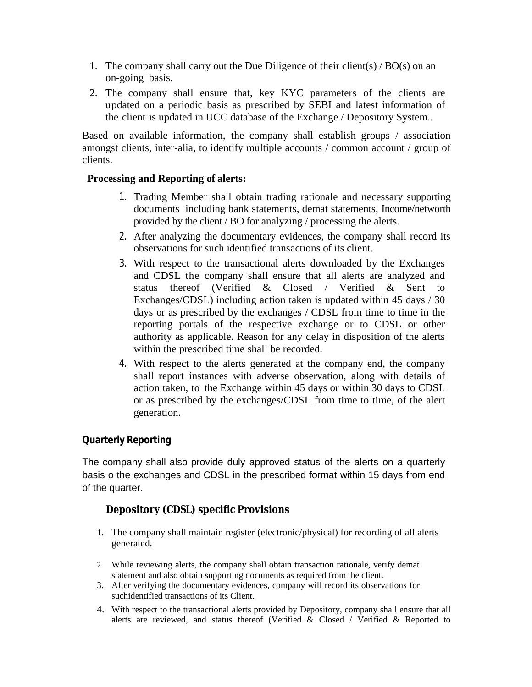- 1. The company shall carry out the Due Diligence of their client(s)  $/BO(s)$  on an on-going basis.
- 2. The company shall ensure that, key KYC parameters of the clients are updated on a periodic basis as prescribed by SEBI and latest information of the client is updated in UCC database of the Exchange / Depository System..

Based on available information, the company shall establish groups / association amongst clients, inter-alia, to identify multiple accounts / common account / group of clients.

### **Processing and Reporting of alerts:**

- 1. Trading Member shall obtain trading rationale and necessary supporting documents including bank statements, demat statements, Income/networth provided by the client / BO for analyzing / processing the alerts.
- 2. After analyzing the documentary evidences, the company shall record its observations for such identified transactions of its client.
- 3. With respect to the transactional alerts downloaded by the Exchanges and CDSL the company shall ensure that all alerts are analyzed and status thereof (Verified & Closed / Verified & Sent to Exchanges/CDSL) including action taken is updated within 45 days / 30 days or as prescribed by the exchanges / CDSL from time to time in the reporting portals of the respective exchange or to CDSL or other authority as applicable. Reason for any delay in disposition of the alerts within the prescribed time shall be recorded.
- 4. With respect to the alerts generated at the company end, the company shall report instances with adverse observation, along with details of action taken, to the Exchange within 45 days or within 30 days to CDSL or as prescribed by the exchanges/CDSL from time to time, of the alert generation.

### **Quarterly Reporting**

The company shall also provide duly approved status of the alerts on a quarterly basis o the exchanges and CDSL in the prescribed format within 15 days from end of the quarter.

## **Depository (CDSL) specific Provisions**

- 1. The company shall maintain register (electronic/physical) for recording of all alerts generated.
- 2. While reviewing alerts, the company shall obtain transaction rationale, verify demat statement and also obtain supporting documents as required from the client.
- 3. After verifying the documentary evidences, company will record its observations for suchidentified transactions of its Client.
- 4. With respect to the transactional alerts provided by Depository, company shall ensure that all alerts are reviewed, and status thereof (Verified & Closed / Verified & Reported to